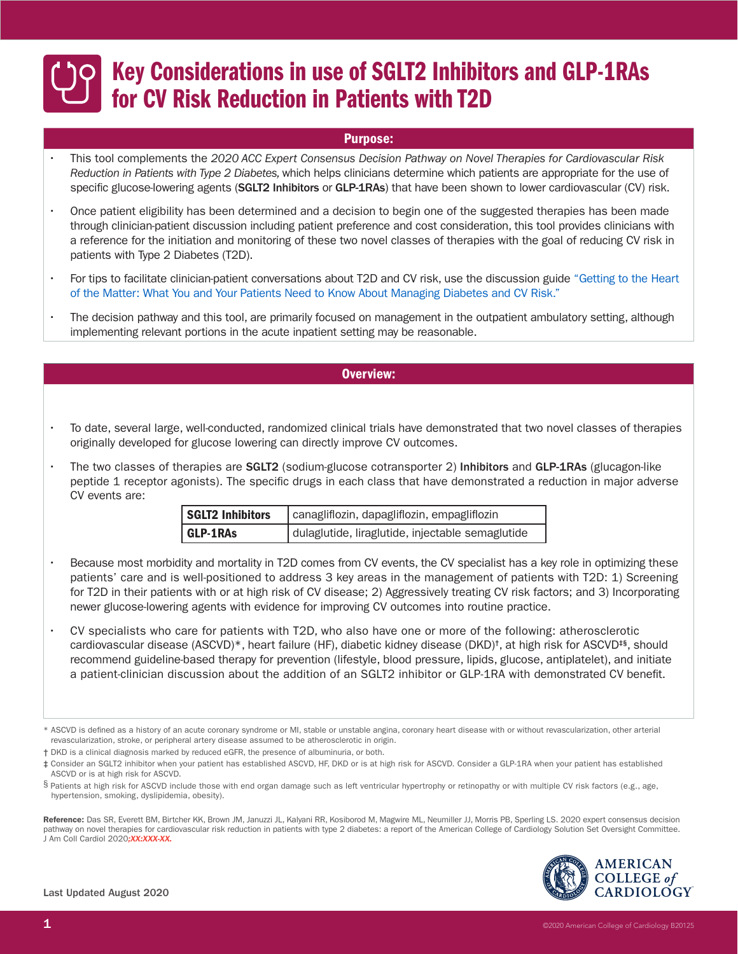### Purpose:

- This tool complements the *2020 ACC Expert Consensus Decision Pathway on Novel Therapies for Cardiovascular Risk Reduction in Patients with Type 2 Diabetes,* which helps clinicians determine which patients are appropriate for the use of specific glucose-lowering agents (SGLT2 Inhibitors or GLP-1RAs) that have been shown to lower cardiovascular (CV) risk.
- Once patient eligibility has been determined and a decision to begin one of the suggested therapies has been made through clinician-patient discussion including patient preference and cost consideration, this tool provides clinicians with a reference for the initiation and monitoring of these two novel classes of therapies with the goal of reducing CV risk in patients with Type 2 Diabetes (T2D).
- [For tips to facilitate clinician-patient conversations about T2D and CV risk, use the discussion guide "Getting to the Heart](https://www.acc.org/~/media/Non-Clinical/Files-PDFs-Excel-MS-Word-etc/Tools%20and%20Practice%20Support/Quality%20Programs/CV%20Risk%20in%20Diabetes%20Initiative/B19040_Diabetes_and_CV_Risk_Discussion_Guide_Final.pdf) of the Matter: What You and Your Patients Need to Know About Managing Diabetes and CV Risk."
- The decision pathway and this tool, are primarily focused on management in the outpatient ambulatory setting, although implementing relevant portions in the acute inpatient setting may be reasonable.

### Overview:

- To date, several large, well-conducted, randomized clinical trials have demonstrated that two novel classes of therapies originally developed for glucose lowering can directly improve CV outcomes.
- The two classes of therapies are **SGLT2** (sodium-glucose cotransporter 2) Inhibitors and GLP-1RAs (glucagon-like peptide 1 receptor agonists). The specific drugs in each class that have demonstrated a reduction in major adverse CV events are:

| <b>SGLT2 Inhibitors</b> | canagliflozin, dapagliflozin, empagliflozin      |  |
|-------------------------|--------------------------------------------------|--|
| <b>GLP-1RAs</b>         | dulaglutide, liraglutide, injectable semaglutide |  |

- Because most morbidity and mortality in T2D comes from CV events, the CV specialist has a key role in optimizing these patients' care and is well-positioned to address 3 key areas in the management of patients with T2D: 1) Screening for T2D in their patients with or at high risk of CV disease; 2) Aggressively treating CV risk factors; and 3) Incorporating newer glucose-lowering agents with evidence for improving CV outcomes into routine practice.
- CV specialists who care for patients with T2D, who also have one or more of the following: atherosclerotic cardiovascular disease (ASCVD)\*, heart failure (HF), diabetic kidney disease (DKD)†, at high risk for ASCVD‡§, should recommend guideline-based therapy for prevention (lifestyle, blood pressure, lipids, glucose, antiplatelet), and initiate a patient-clinician discussion about the addition of an SGLT2 inhibitor or GLP-1RA with demonstrated CV benefit.

Reference: Das SR, Everett BM, Birtcher KK, Brown JM, Januzzi JL, Kalyani RR, Kosiborod M, Magwire ML, Neumiller JJ, Morris PB, Sperling LS. 2020 expert consensus decision pathway on novel therapies for cardiovascular risk reduction in patients with type 2 diabetes: a report of the American College of Cardiology Solution Set Oversight Committee. J Am Coll Cardiol 2020*;XX:XXX-XX.*



<sup>\*</sup> ASCVD is defined as a history of an acute coronary syndrome or MI, stable or unstable angina, coronary heart disease with or without revascularization, other arterial revascularization, stroke, or peripheral artery disease assumed to be atherosclerotic in origin.

<sup>†</sup> DKD is a clinical diagnosis marked by reduced eGFR, the presence of albuminuria, or both.

<sup>‡</sup> Consider an SGLT2 inhibitor when your patient has established ASCVD, HF, DKD or is at high risk for ASCVD. Consider a GLP-1RA when your patient has established ASCVD or is at high risk for ASCVD.

<sup>§</sup> Patients at high risk for ASCVD include those with end organ damage such as left ventricular hypertrophy or retinopathy or with multiple CV risk factors (e.g., age, hypertension, smoking, dyslipidemia, obesity).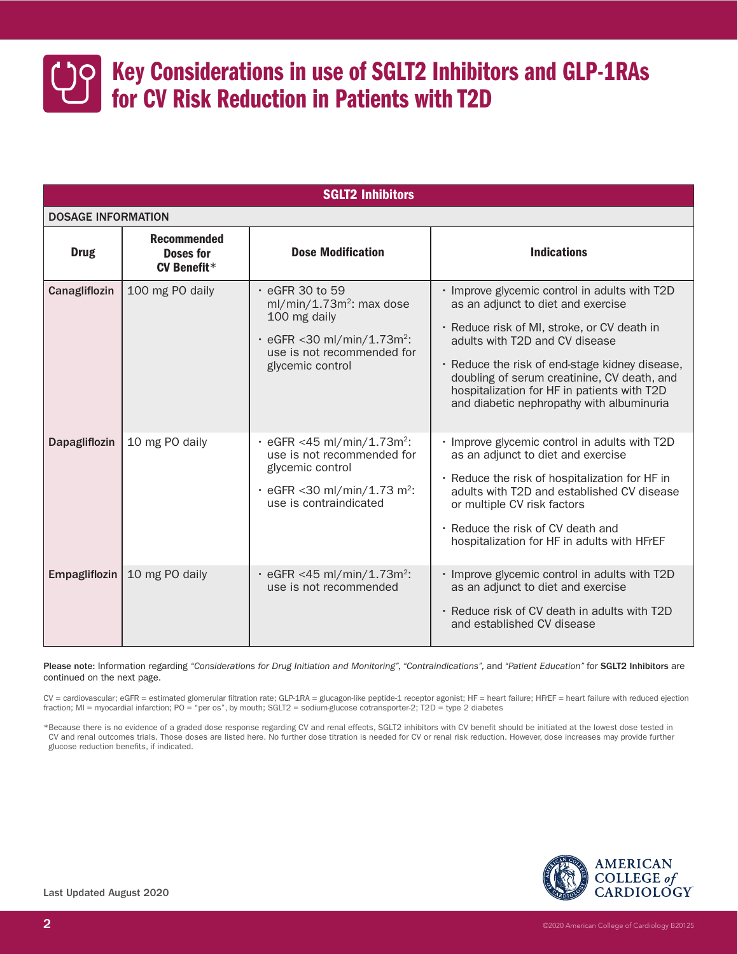

| <b>SGLT2 Inhibitors</b>   |                                                              |                                                                                                                                                                            |                                                                                                                                                                                                                                                                                                                                                                   |  |  |  |  |
|---------------------------|--------------------------------------------------------------|----------------------------------------------------------------------------------------------------------------------------------------------------------------------------|-------------------------------------------------------------------------------------------------------------------------------------------------------------------------------------------------------------------------------------------------------------------------------------------------------------------------------------------------------------------|--|--|--|--|
| <b>DOSAGE INFORMATION</b> |                                                              |                                                                                                                                                                            |                                                                                                                                                                                                                                                                                                                                                                   |  |  |  |  |
| <b>Drug</b>               | <b>Recommended</b><br><b>Doses for</b><br><b>CV Benefit*</b> | <b>Dose Modification</b>                                                                                                                                                   | <b>Indications</b>                                                                                                                                                                                                                                                                                                                                                |  |  |  |  |
| Canagliflozin             | 100 mg PO daily                                              | $\cdot$ eGFR 30 to 59<br>$ml/min/1.73m2$ : max dose<br>100 mg daily<br>$\cdot$ eGFR < 30 ml/min/1.73m <sup>2</sup> :<br>use is not recommended for<br>glycemic control     | · Improve glycemic control in adults with T2D<br>as an adjunct to diet and exercise<br>· Reduce risk of MI, stroke, or CV death in<br>adults with T2D and CV disease<br>· Reduce the risk of end-stage kidney disease,<br>doubling of serum creatinine, CV death, and<br>hospitalization for HF in patients with T2D<br>and diabetic nephropathy with albuminuria |  |  |  |  |
| Dapagliflozin             | 10 mg PO daily                                               | $\cdot$ eGFR <45 ml/min/1.73m <sup>2</sup> :<br>use is not recommended for<br>glycemic control<br>$\cdot$ eGFR < 30 ml/min/1.73 m <sup>2</sup> :<br>use is contraindicated | · Improve glycemic control in adults with T2D<br>as an adjunct to diet and exercise<br>. Reduce the risk of hospitalization for HF in<br>adults with T2D and established CV disease<br>or multiple CV risk factors<br>. Reduce the risk of CV death and<br>hospitalization for HF in adults with HFrEF                                                            |  |  |  |  |
| Empagliflozin             | 10 mg PO daily                                               | $\cdot$ eGFR <45 ml/min/1.73m <sup>2</sup> :<br>use is not recommended                                                                                                     | · Improve glycemic control in adults with T2D<br>as an adjunct to diet and exercise<br>. Reduce risk of CV death in adults with T2D<br>and established CV disease                                                                                                                                                                                                 |  |  |  |  |

Please note: Information regarding "Considerations for Drug Initiation and Monitoring", "Contraindications", and "Patient Education" for SGLT2 Inhibitors are continued on the next page.

CV = cardiovascular; eGFR = estimated glomerular filtration rate; GLP-1RA = glucagon-like peptide-1 receptor agonist; HF = heart failure; HFrEF = heart failure with reduced ejection fraction; MI = myocardial infarction; PO = "per os", by mouth; SGLT2 = sodium-glucose cotransporter-2; T2D = type 2 diabetes

\*Because there is no evidence of a graded dose response regarding CV and renal effects, SGLT2 inhibitors with CV benefit should be initiated at the lowest dose tested in CV and renal outcomes trials. Those doses are listed here. No further dose titration is needed for CV or renal risk reduction. However, dose increases may provide further glucose reduction benefits, if indicated.

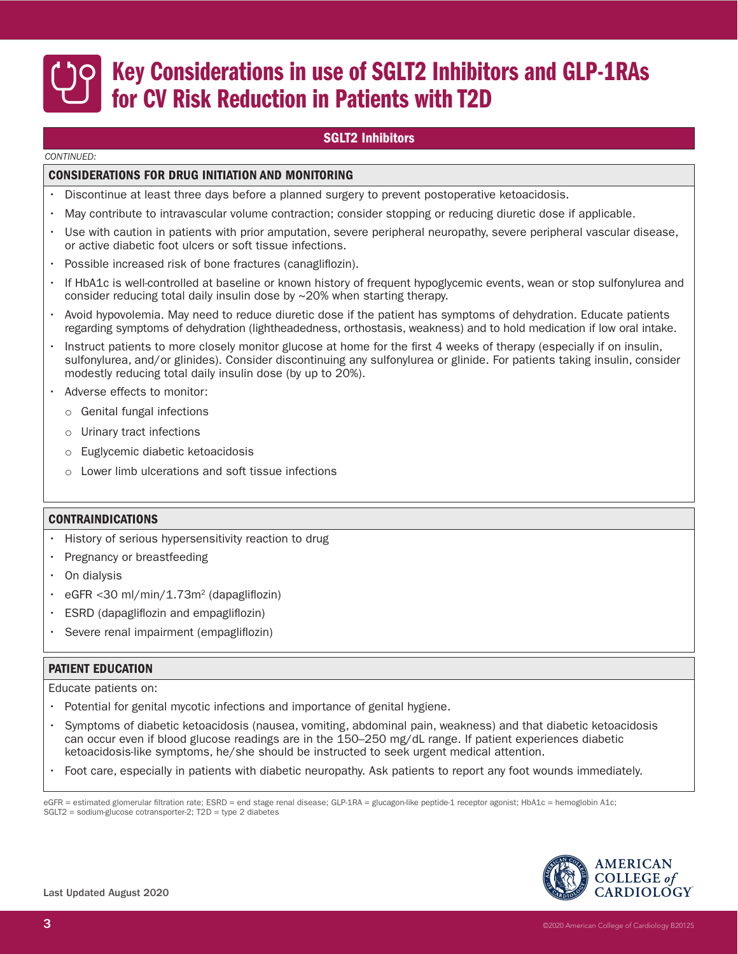### SGLT2 Inhibitors

#### *CONTINUED:*

#### CONSIDERATIONS FOR DRUG INITIATION AND MONITORING

- Discontinue at least three days before a planned surgery to prevent postoperative ketoacidosis.
- May contribute to intravascular volume contraction; consider stopping or reducing diuretic dose if applicable.
- Use with caution in patients with prior amputation, severe peripheral neuropathy, severe peripheral vascular disease, or active diabetic foot ulcers or soft tissue infections.
- Possible increased risk of bone fractures (canagliflozin).
- If HbA1c is well-controlled at baseline or known history of frequent hypoglycemic events, wean or stop sulfonylurea and consider reducing total daily insulin dose by ~20% when starting therapy.
- Avoid hypovolemia. May need to reduce diuretic dose if the patient has symptoms of dehydration. Educate patients regarding symptoms of dehydration (lightheadedness, orthostasis, weakness) and to hold medication if low oral intake.
- Instruct patients to more closely monitor glucose at home for the first 4 weeks of therapy (especially if on insulin, sulfonylurea, and/or glinides). Consider discontinuing any sulfonylurea or glinide. For patients taking insulin, consider modestly reducing total daily insulin dose (by up to 20%).
- Adverse effects to monitor:
	- o Genital fungal infections
	- o Urinary tract infections
	- o Euglycemic diabetic ketoacidosis
	- o Lower limb ulcerations and soft tissue infections

### CONTRAINDICATIONS

- History of serious hypersensitivity reaction to drug
- Pregnancy or breastfeeding
- On dialysis
- eGFR <30 ml/min/1.73m<sup>2</sup> (dapagliflozin)
- ESRD (dapagliflozin and empagliflozin)
- Severe renal impairment (empagliflozin)

### PATIENT EDUCATION

Educate patients on:

- Potential for genital mycotic infections and importance of genital hygiene.
- Symptoms of diabetic ketoacidosis (nausea, vomiting, abdominal pain, weakness) and that diabetic ketoacidosis can occur even if blood glucose readings are in the 150–250 mg/dL range. If patient experiences diabetic ketoacidosis-like symptoms, he/she should be instructed to seek urgent medical attention.
- Foot care, especially in patients with diabetic neuropathy. Ask patients to report any foot wounds immediately.

eGFR = estimated glomerular filtration rate; ESRD = end stage renal disease; GLP-1RA = glucagon-like peptide-1 receptor agonist; HbA1c = hemoglobin A1c; SGLT2 = sodium-glucose cotransporter-2; T2D = type 2 diabetes

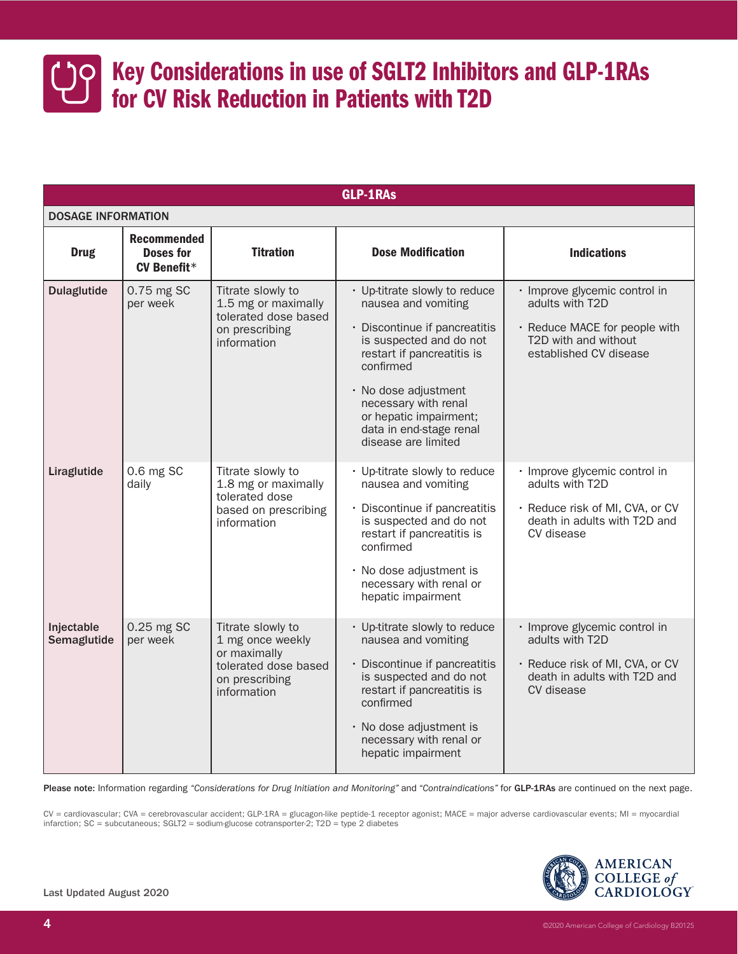

| <b>GLP-1RAs</b>           |                                                              |                                                                                                                |                                                                                                                                                                                                                                                                                         |                                                                                                                                     |  |  |  |
|---------------------------|--------------------------------------------------------------|----------------------------------------------------------------------------------------------------------------|-----------------------------------------------------------------------------------------------------------------------------------------------------------------------------------------------------------------------------------------------------------------------------------------|-------------------------------------------------------------------------------------------------------------------------------------|--|--|--|
| <b>DOSAGE INFORMATION</b> |                                                              |                                                                                                                |                                                                                                                                                                                                                                                                                         |                                                                                                                                     |  |  |  |
| <b>Drug</b>               | <b>Recommended</b><br><b>Doses for</b><br><b>CV Benefit*</b> | <b>Titration</b>                                                                                               | <b>Dose Modification</b>                                                                                                                                                                                                                                                                | <b>Indications</b>                                                                                                                  |  |  |  |
| <b>Dulaglutide</b>        | 0.75 mg SC<br>per week                                       | Titrate slowly to<br>1.5 mg or maximally<br>tolerated dose based<br>on prescribing<br>information              | • Up-titrate slowly to reduce<br>nausea and vomiting<br>· Discontinue if pancreatitis<br>is suspected and do not<br>restart if pancreatitis is<br>confirmed<br>· No dose adjustment<br>necessary with renal<br>or hepatic impairment;<br>data in end-stage renal<br>disease are limited | · Improve glycemic control in<br>adults with T2D<br>· Reduce MACE for people with<br>T2D with and without<br>established CV disease |  |  |  |
| Liraglutide               | 0.6 mg SC<br>daily                                           | Titrate slowly to<br>1.8 mg or maximally<br>tolerated dose<br>based on prescribing<br>information              | • Up-titrate slowly to reduce<br>nausea and vomiting<br>· Discontinue if pancreatitis<br>is suspected and do not<br>restart if pancreatitis is<br>confirmed<br>· No dose adjustment is<br>necessary with renal or<br>hepatic impairment                                                 | · Improve glycemic control in<br>adults with T2D<br>· Reduce risk of MI, CVA, or CV<br>death in adults with T2D and<br>CV disease   |  |  |  |
| Injectable<br>Semaglutide | 0.25 mg SC<br>per week                                       | Titrate slowly to<br>1 mg once weekly<br>or maximally<br>tolerated dose based<br>on prescribing<br>information | • Up-titrate slowly to reduce<br>nausea and vomiting<br>· Discontinue if pancreatitis<br>is suspected and do not<br>restart if pancreatitis is<br>confirmed<br>· No dose adjustment is<br>necessary with renal or<br>hepatic impairment                                                 | · Improve glycemic control in<br>adults with T2D<br>· Reduce risk of MI, CVA, or CV<br>death in adults with T2D and<br>CV disease   |  |  |  |

Please note: Information regarding "Considerations for Drug Initiation and Monitoring" and "Contraindications" for GLP-1RAs are continued on the next page.

CV = cardiovascular; CVA = cerebrovascular accident; GLP-1RA = glucagon-like peptide-1 receptor agonist; MACE = major adverse cardiovascular events; MI = myocardial infarction; SC = subcutaneous; SGLT2 = sodium-glucose cotransporter-2; T2D = type 2 diabetes